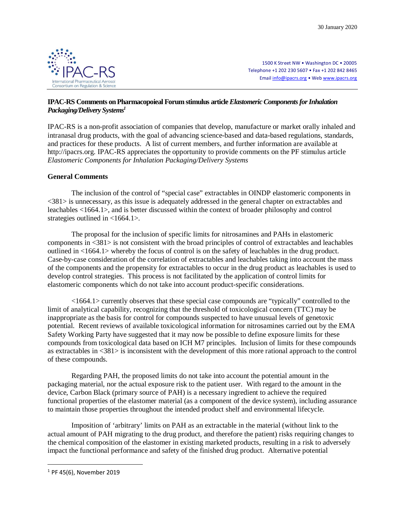

1500 K Street NW • Washington DC • 20005 Telephone +1 202 230 5607 • Fax +1 202 842 8465 Email info@ipacrs.org • Web www.ipacrs.org

# **IPAC-RS Comments on Pharmacopoieal Forum stimulus article** *Elastomeric Components for Inhalation Packaging/Delivery Systems<sup>1</sup>*

IPAC-RS is a non-profit association of companies that develop, manufacture or market orally inhaled and intranasal drug products, with the goal of advancing science-based and data-based regulations, standards, and practices for these products. A list of current members, and further information are available at http://ipacrs.org. IPAC-RS appreciates the opportunity to provide comments on the PF stimulus article *Elastomeric Components for Inhalation Packaging/Delivery Systems*

# **General Comments**

The inclusion of the control of "special case" extractables in OINDP elastomeric components in <381> is unnecessary, as this issue is adequately addressed in the general chapter on extractables and leachables <1664.1>, and is better discussed within the context of broader philosophy and control strategies outlined in <1664.1>.

The proposal for the inclusion of specific limits for nitrosamines and PAHs in elastomeric components in <381> is not consistent with the broad principles of control of extractables and leachables outlined in <1664.1> whereby the focus of control is on the safety of leachables in the drug product. Case-by-case consideration of the correlation of extractables and leachables taking into account the mass of the components and the propensity for extractables to occur in the drug product as leachables is used to develop control strategies. This process is not facilitated by the application of control limits for elastomeric components which do not take into account product-specific considerations.

<1664.1> currently observes that these special case compounds are "typically" controlled to the limit of analytical capability, recognizing that the threshold of toxicological concern (TTC) may be inappropriate as the basis for control for compounds suspected to have unusual levels of genetoxic potential. Recent reviews of available toxicological information for nitrosamines carried out by the EMA Safety Working Party have suggested that it may now be possible to define exposure limits for these compounds from toxicological data based on ICH M7 principles. Inclusion of limits for these compounds as extractables in <381> is inconsistent with the development of this more rational approach to the control of these compounds.

Regarding PAH, the proposed limits do not take into account the potential amount in the packaging material, nor the actual exposure risk to the patient user. With regard to the amount in the device, Carbon Black (primary source of PAH) is a necessary ingredient to achieve the required functional properties of the elastomer material (as a component of the device system), including assurance to maintain those properties throughout the intended product shelf and environmental lifecycle.

Imposition of 'arbitrary' limits on PAH as an extractable in the material (without link to the actual amount of PAH migrating to the drug product, and therefore the patient) risks requiring changes to the chemical composition of the elastomer in existing marketed products, resulting in a risk to adversely impact the functional performance and safety of the finished drug product. Alternative potential

 $\overline{a}$ 

 $1$  PF 45(6). November 2019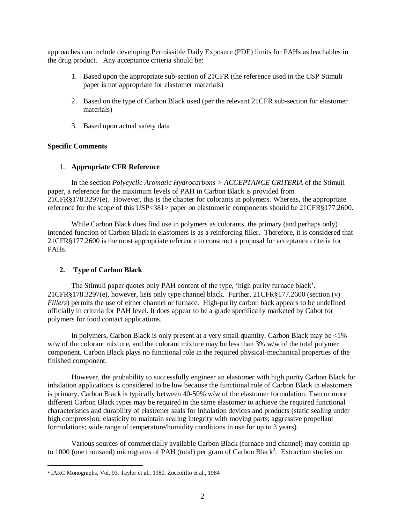approaches can include developing Permissible Daily Exposure (PDE) limits for PAHs as leachables in the drug product. Any acceptance criteria should be:

- 1. Based upon the appropriate sub-section of 21CFR (the reference used in the USP Stimuli paper is not appropriate for elastomer materials)
- 2. Based on the type of Carbon Black used (per the relevant 21CFR sub-section for elastomer materials)
- 3. Based upon actual safety data

## **Specific Comments**

#### 1. **Appropriate CFR Reference**

In the section *Polycyclic Aromatic Hydrocarbons > ACCEPTANCE CRITERIA* of the Stimuli paper, a reference for the maximum levels of PAH in Carbon Black is provided from 21CFR§178.3297(e). However, this is the chapter for colorants in polymers. Whereas, the appropriate reference for the scope of this USP<381> paper on elastomeric components should be 21CFR§177.2600.

While Carbon Black does find use in polymers as colorants, the primary (and perhaps only) intended function of Carbon Black in elastomers is as a reinforcing filler. Therefore, it is considered that 21CFR§177.2600 is the most appropriate reference to construct a proposal for acceptance criteria for PAHs.

## **2. Type of Carbon Black**

The Stimuli paper quotes only PAH content of the type, 'high purity furnace black'. 21CFR§178.3297(e), however, lists only type channel black. Further, 21CFR§177.2600 (section (v) *Fillers*) permits the use of either channel or furnace. High-purity carbon back appears to be undefined officially in criteria for PAH level. It does appear to be a grade specifically marketed by Cabot for polymers for food contact applications.

In polymers, Carbon Black is only present at a very small quantity. Carbon Black may be <1% w/w of the colorant mixture, and the colorant mixture may be less than 3% w/w of the total polymer component. Carbon Black plays no functional role in the required physical-mechanical properties of the finished component.

However, the probability to successfully engineer an elastomer with high purity Carbon Black for inhalation applications is considered to be low because the functional role of Carbon Black in elastomers is primary. Carbon Black is typically between 40-50% w/w of the elastomer formulation. Two or more different Carbon Black types may be required in the same elastomer to achieve the required functional characteristics and durability of elastomer seals for inhalation devices and products (static sealing under high compression; elasticity to maintain sealing integrity with moving parts; aggressive propellant formulations; wide range of temperature/humidity conditions in use for up to 3 years).

Various sources of commercially available Carbon Black (furnace and channel) may contain up to 1000 (one thousand) micrograms of PAH (total) per gram of Carbon Black<sup>2</sup>. Extraction studies on

 $\overline{a}$ 

<sup>2</sup> IARC Monographs, Vol. 93. Taylor et al., 1980. Zoccolillo et al., 1984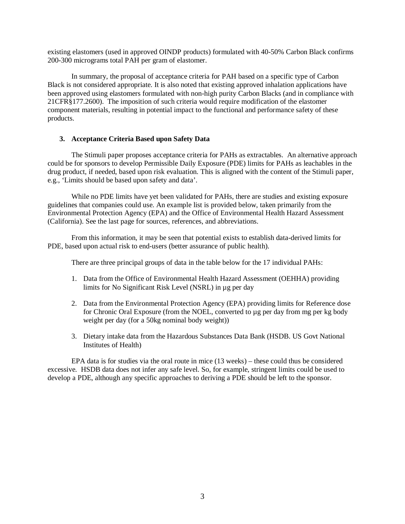existing elastomers (used in approved OINDP products) formulated with 40-50% Carbon Black confirms 200-300 micrograms total PAH per gram of elastomer.

In summary, the proposal of acceptance criteria for PAH based on a specific type of Carbon Black is not considered appropriate. It is also noted that existing approved inhalation applications have been approved using elastomers formulated with non-high purity Carbon Blacks (and in compliance with 21CFR§177.2600). The imposition of such criteria would require modification of the elastomer component materials, resulting in potential impact to the functional and performance safety of these products.

#### **3. Acceptance Criteria Based upon Safety Data**

The Stimuli paper proposes acceptance criteria for PAHs as extractables. An alternative approach could be for sponsors to develop Permissible Daily Exposure (PDE) limits for PAHs as leachables in the drug product, if needed, based upon risk evaluation. This is aligned with the content of the Stimuli paper, e.g., 'Limits should be based upon safety and data'.

While no PDE limits have yet been validated for PAHs, there are studies and existing exposure guidelines that companies could use. An example list is provided below, taken primarily from the Environmental Protection Agency (EPA) and the Office of Environmental Health Hazard Assessment (California). See the last page for sources, references, and abbreviations.

From this information, it may be seen that potential exists to establish data-derived limits for PDE, based upon actual risk to end-users (better assurance of public health).

There are three principal groups of data in the table below for the 17 individual PAHs:

- 1. Data from the Office of Environmental Health Hazard Assessment (OEHHA) providing limits for No Significant Risk Level (NSRL) in µg per day
- 2. Data from the Environmental Protection Agency (EPA) providing limits for Reference dose for Chronic Oral Exposure (from the NOEL, converted to µg per day from mg per kg body weight per day (for a 50kg nominal body weight))
- 3. Dietary intake data from the Hazardous Substances Data Bank (HSDB. US Govt National Institutes of Health)

EPA data is for studies via the oral route in mice (13 weeks) – these could thus be considered excessive. HSDB data does not infer any safe level. So, for example, stringent limits could be used to develop a PDE, although any specific approaches to deriving a PDE should be left to the sponsor.